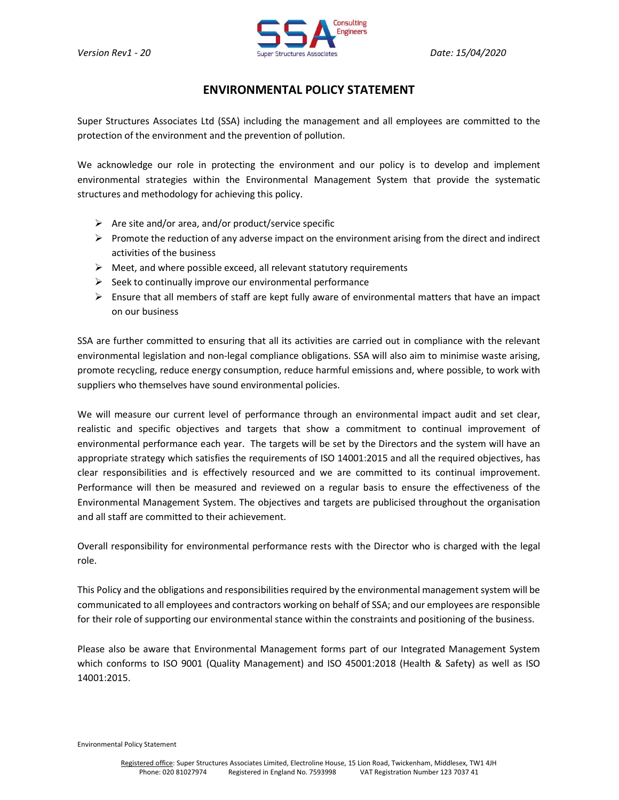

## ENVIRONMENTAL POLICY STATEMENT

Super Structures Associates Ltd (SSA) including the management and all employees are committed to the protection of the environment and the prevention of pollution.

We acknowledge our role in protecting the environment and our policy is to develop and implement environmental strategies within the Environmental Management System that provide the systematic structures and methodology for achieving this policy.

- $\triangleright$  Are site and/or area, and/or product/service specific
- $\triangleright$  Promote the reduction of any adverse impact on the environment arising from the direct and indirect activities of the business
- $\triangleright$  Meet, and where possible exceed, all relevant statutory requirements
- $\triangleright$  Seek to continually improve our environmental performance
- $\triangleright$  Ensure that all members of staff are kept fully aware of environmental matters that have an impact on our business

SSA are further committed to ensuring that all its activities are carried out in compliance with the relevant environmental legislation and non-legal compliance obligations. SSA will also aim to minimise waste arising, promote recycling, reduce energy consumption, reduce harmful emissions and, where possible, to work with suppliers who themselves have sound environmental policies.

We will measure our current level of performance through an environmental impact audit and set clear, realistic and specific objectives and targets that show a commitment to continual improvement of environmental performance each year. The targets will be set by the Directors and the system will have an appropriate strategy which satisfies the requirements of ISO 14001:2015 and all the required objectives, has clear responsibilities and is effectively resourced and we are committed to its continual improvement. Performance will then be measured and reviewed on a regular basis to ensure the effectiveness of the Environmental Management System. The objectives and targets are publicised throughout the organisation and all staff are committed to their achievement.

Overall responsibility for environmental performance rests with the Director who is charged with the legal role.

This Policy and the obligations and responsibilities required by the environmental management system will be communicated to all employees and contractors working on behalf of SSA; and our employees are responsible for their role of supporting our environmental stance within the constraints and positioning of the business.

Please also be aware that Environmental Management forms part of our Integrated Management System which conforms to ISO 9001 (Quality Management) and ISO 45001:2018 (Health & Safety) as well as ISO 14001:2015.

Environmental Policy Statement